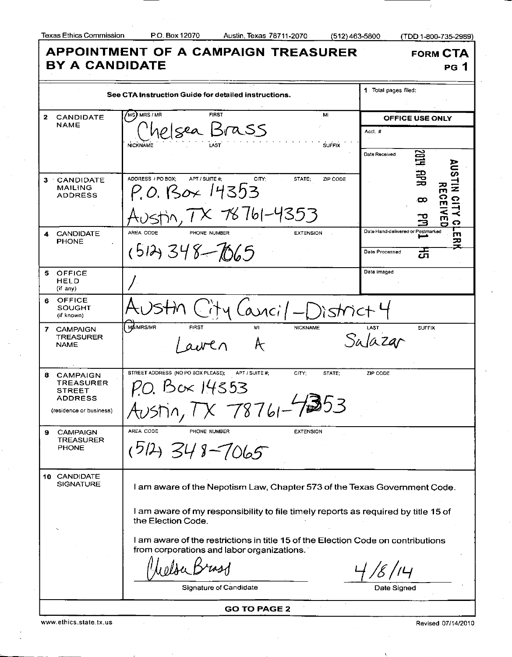$(512)463-5800$ 

(TDD 1-800-735-2989)

| <b>APPOINTMENT OF A CAMPAIGN TREASURER</b><br><b>FORM CTA</b><br><b>BY A CANDIDATE</b><br>PG 1                |                                                                                                                                |                                                                                      |                                               |
|---------------------------------------------------------------------------------------------------------------|--------------------------------------------------------------------------------------------------------------------------------|--------------------------------------------------------------------------------------|-----------------------------------------------|
| See CTA Instruction Guide for detailed instructions.                                                          |                                                                                                                                |                                                                                      | 1 Total pages filed:                          |
| 2                                                                                                             | CANDIDATE                                                                                                                      | $(Ms)$ MRS / MR<br><b>FIRST</b><br>MI                                                | OFFICE USE ONLY                               |
|                                                                                                               | <b>NAME</b>                                                                                                                    | <u>Ielsea Brass</u><br><b>NICKNAME</b><br><b>SUFFIX</b>                              | Acct. #<br><b>ABS</b><br>Date Received        |
|                                                                                                               | 3 CANDIDATE                                                                                                                    | ADORESS / PO BOX:<br>APT / SUITE #:<br>CITY:<br>STATE:<br>ZIP CODE                   | <b>AUS</b><br>∃9                              |
|                                                                                                               | <b>MAILING</b><br><b>ADDRESS</b>                                                                                               | P.O. Box 14353                                                                       | $\frac{1}{2}$<br>꼮<br>ဂ<br>$\frac{1}{2}$<br>ထ |
|                                                                                                               |                                                                                                                                | TX 78761-4353                                                                        | ≺<br>m<br>ငှ                                  |
| 4                                                                                                             | <b>CANDIDATE</b><br><b>PHONE</b>                                                                                               | AREA CODE<br>PHONE NUMBER<br><b>EXTENSION</b>                                        | Date Hand-delivered or Postmarked<br>ш<br>ᅎ   |
|                                                                                                               |                                                                                                                                | $(512)348 - 1065$                                                                    | ᇬ<br>Date Processed                           |
| 5.                                                                                                            | <b>OFFICE</b><br>HELD<br>(if any)                                                                                              |                                                                                      | Date Imaged                                   |
| 6                                                                                                             | <b>OFFICE</b><br>SOUGHT<br>(if known)                                                                                          | $(\alpha$ nci/-District                                                              |                                               |
| 7.                                                                                                            | <b>CAMPAIGN</b><br><b>TREASURER</b><br><b>NAME</b>                                                                             | <b>MS/MRS/MR</b><br><b>FIRST</b><br><b>NICKNAME</b><br>MI<br>Æ                       | <b>SUFFIX</b><br>LAST<br>Salazar              |
| 8                                                                                                             | <b>CAMPAIGN</b><br><b>TREASURER</b><br><b>STREET</b><br><b>ADDRESS</b>                                                         | STREET ADDRESS (NO PO BOX PLEASE);<br>APT / SUITE #:<br>CITY:<br>STATE:<br>Box 14353 | ZIP CODE                                      |
|                                                                                                               | (residence or business)                                                                                                        | $\sim$ $\sim$ $\sim$                                                                 |                                               |
| 9                                                                                                             | <b>CAMPAIGN</b><br><b>TREASURER</b><br><b>PHONE</b>                                                                            | AREA CODE<br>PHONE NUMBER<br><b>EXTENSION</b><br>$15143 - 7065$                      |                                               |
| 10 CANDIDATE<br><b>SIGNATURE</b><br>I am aware of the Nepotism Law, Chapter 573 of the Texas Government Code. |                                                                                                                                |                                                                                      |                                               |
| I am aware of my responsibility to file timely reports as required by title 15 of<br>the Election Code.       |                                                                                                                                |                                                                                      |                                               |
|                                                                                                               | I am aware of the restrictions in title 15 of the Election Code on contributions<br>from corporations and labor organizations. |                                                                                      |                                               |
|                                                                                                               |                                                                                                                                |                                                                                      |                                               |
|                                                                                                               |                                                                                                                                | Signature of Candidate                                                               | Date Signed                                   |
| <b>GO TO PAGE 2</b>                                                                                           |                                                                                                                                |                                                                                      |                                               |

www.ethics.state.tx.us Revised 07/14/2010